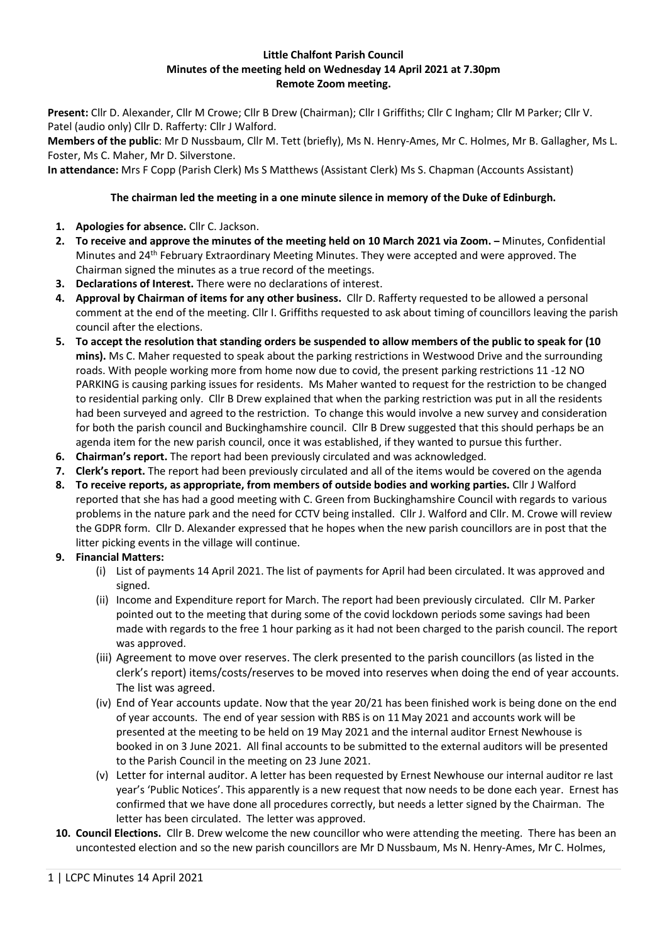## **Little Chalfont Parish Council Minutes of the meeting held on Wednesday 14 April 2021 at 7.30pm Remote Zoom meeting.**

**Present:** Cllr D. Alexander, Cllr M Crowe; Cllr B Drew (Chairman); Cllr I Griffiths; Cllr C Ingham; Cllr M Parker; Cllr V. Patel (audio only) Cllr D. Rafferty: Cllr J Walford.

**Members of the public**: Mr D Nussbaum, Cllr M. Tett (briefly), Ms N. Henry-Ames, Mr C. Holmes, Mr B. Gallagher, Ms L. Foster, Ms C. Maher, Mr D. Silverstone.

**In attendance:** Mrs F Copp (Parish Clerk) Ms S Matthews (Assistant Clerk) Ms S. Chapman (Accounts Assistant)

## **The chairman led the meeting in a one minute silence in memory of the Duke of Edinburgh.**

- **1. Apologies for absence.** Cllr C. Jackson.
- **2. To receive and approve the minutes of the meeting held on 10 March 2021 via Zoom. –** Minutes, Confidential Minutes and 24<sup>th</sup> February Extraordinary Meeting Minutes. They were accepted and were approved. The Chairman signed the minutes as a true record of the meetings.
- **3. Declarations of Interest.** There were no declarations of interest.
- **4. Approval by Chairman of items for any other business.** Cllr D. Rafferty requested to be allowed a personal comment at the end of the meeting. Cllr I. Griffiths requested to ask about timing of councillors leaving the parish council after the elections.
- **5. To accept the resolution that standing orders be suspended to allow members of the public to speak for (10 mins).** Ms C. Maher requested to speak about the parking restrictions in Westwood Drive and the surrounding roads. With people working more from home now due to covid, the present parking restrictions 11 -12 NO PARKING is causing parking issues for residents. Ms Maher wanted to request for the restriction to be changed to residential parking only. Cllr B Drew explained that when the parking restriction was put in all the residents had been surveyed and agreed to the restriction. To change this would involve a new survey and consideration for both the parish council and Buckinghamshire council. Cllr B Drew suggested that this should perhaps be an agenda item for the new parish council, once it was established, if they wanted to pursue this further.
- **6. Chairman's report.** The report had been previously circulated and was acknowledged.
- **7. Clerk's report.** The report had been previously circulated and all of the items would be covered on the agenda
- **8. To receive reports, as appropriate, from members of outside bodies and working parties.** Cllr J Walford reported that she has had a good meeting with C. Green from Buckinghamshire Council with regards to various problems in the nature park and the need for CCTV being installed. Cllr J. Walford and Cllr. M. Crowe will review the GDPR form. Cllr D. Alexander expressed that he hopes when the new parish councillors are in post that the litter picking events in the village will continue.
- **9. Financial Matters:**
	- (i) List of payments 14 April 2021. The list of payments for April had been circulated. It was approved and signed.
	- (ii) Income and Expenditure report for March. The report had been previously circulated. Cllr M. Parker pointed out to the meeting that during some of the covid lockdown periods some savings had been made with regards to the free 1 hour parking as it had not been charged to the parish council. The report was approved.
	- (iii) Agreement to move over reserves. The clerk presented to the parish councillors (as listed in the clerk's report) items/costs/reserves to be moved into reserves when doing the end of year accounts. The list was agreed.
	- (iv) End of Year accounts update. Now that the year 20/21 has been finished work is being done on the end of year accounts. The end of year session with RBS is on 11 May 2021 and accounts work will be presented at the meeting to be held on 19 May 2021 and the internal auditor Ernest Newhouse is booked in on 3 June 2021. All final accounts to be submitted to the external auditors will be presented to the Parish Council in the meeting on 23 June 2021.
	- (v) Letter for internal auditor. A letter has been requested by Ernest Newhouse our internal auditor re last year's 'Public Notices'. This apparently is a new request that now needs to be done each year. Ernest has confirmed that we have done all procedures correctly, but needs a letter signed by the Chairman. The letter has been circulated. The letter was approved.
- **10. Council Elections.** Cllr B. Drew welcome the new councillor who were attending the meeting. There has been an uncontested election and so the new parish councillors are Mr D Nussbaum, Ms N. Henry-Ames, Mr C. Holmes,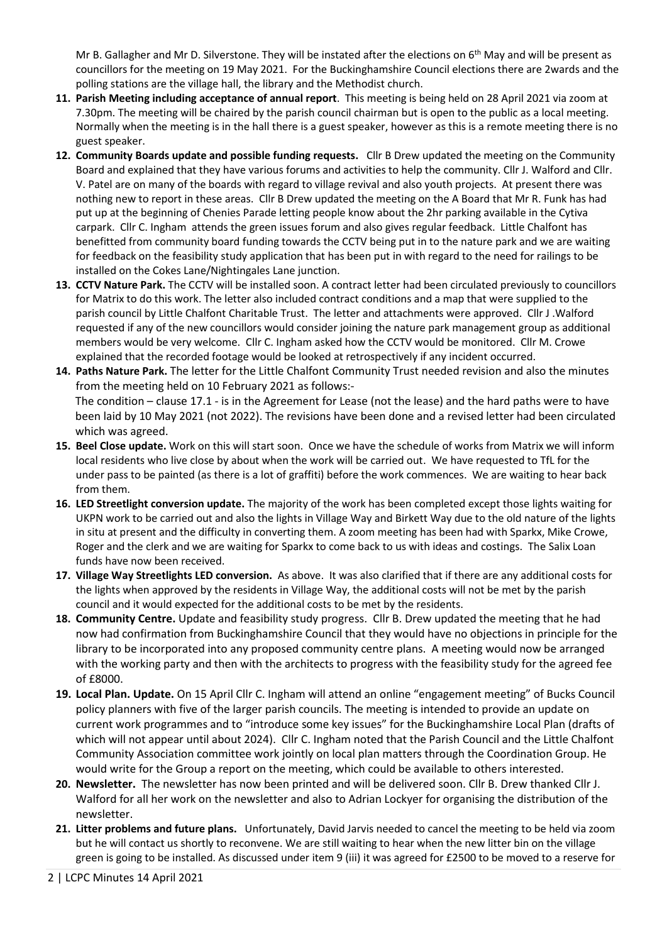Mr B. Gallagher and Mr D. Silverstone. They will be instated after the elections on 6<sup>th</sup> May and will be present as councillors for the meeting on 19 May 2021. For the Buckinghamshire Council elections there are 2wards and the polling stations are the village hall, the library and the Methodist church.

- **11. Parish Meeting including acceptance of annual report**. This meeting is being held on 28 April 2021 via zoom at 7.30pm. The meeting will be chaired by the parish council chairman but is open to the public as a local meeting. Normally when the meeting is in the hall there is a guest speaker, however as this is a remote meeting there is no guest speaker.
- **12. Community Boards update and possible funding requests.** Cllr B Drew updated the meeting on the Community Board and explained that they have various forums and activities to help the community. Cllr J. Walford and Cllr. V. Patel are on many of the boards with regard to village revival and also youth projects. At present there was nothing new to report in these areas. Cllr B Drew updated the meeting on the A Board that Mr R. Funk has had put up at the beginning of Chenies Parade letting people know about the 2hr parking available in the Cytiva carpark. Cllr C. Ingham attends the green issues forum and also gives regular feedback. Little Chalfont has benefitted from community board funding towards the CCTV being put in to the nature park and we are waiting for feedback on the feasibility study application that has been put in with regard to the need for railings to be installed on the Cokes Lane/Nightingales Lane junction.
- **13. CCTV Nature Park.** The CCTV will be installed soon. A contract letter had been circulated previously to councillors for Matrix to do this work. The letter also included contract conditions and a map that were supplied to the parish council by Little Chalfont Charitable Trust. The letter and attachments were approved. Cllr J .Walford requested if any of the new councillors would consider joining the nature park management group as additional members would be very welcome. Cllr C. Ingham asked how the CCTV would be monitored. Cllr M. Crowe explained that the recorded footage would be looked at retrospectively if any incident occurred.
- **14. Paths Nature Park.** The letter for the Little Chalfont Community Trust needed revision and also the minutes from the meeting held on 10 February 2021 as follows:-

The condition – clause 17.1 - is in the Agreement for Lease (not the lease) and the hard paths were to have been laid by 10 May 2021 (not 2022). The revisions have been done and a revised letter had been circulated which was agreed.

- **15. Beel Close update.** Work on this will start soon. Once we have the schedule of works from Matrix we will inform local residents who live close by about when the work will be carried out. We have requested to TfL for the under pass to be painted (as there is a lot of graffiti) before the work commences. We are waiting to hear back from them.
- **16. LED Streetlight conversion update.** The majority of the work has been completed except those lights waiting for UKPN work to be carried out and also the lights in Village Way and Birkett Way due to the old nature of the lights in situ at present and the difficulty in converting them. A zoom meeting has been had with Sparkx, Mike Crowe, Roger and the clerk and we are waiting for Sparkx to come back to us with ideas and costings. The Salix Loan funds have now been received.
- **17. Village Way Streetlights LED conversion.** As above. It was also clarified that if there are any additional costs for the lights when approved by the residents in Village Way, the additional costs will not be met by the parish council and it would expected for the additional costs to be met by the residents.
- **18. Community Centre.** Update and feasibility study progress. Cllr B. Drew updated the meeting that he had now had confirmation from Buckinghamshire Council that they would have no objections in principle for the library to be incorporated into any proposed community centre plans. A meeting would now be arranged with the working party and then with the architects to progress with the feasibility study for the agreed fee of £8000.
- **19. Local Plan. Update.** On 15 April Cllr C. Ingham will attend an online "engagement meeting" of Bucks Council policy planners with five of the larger parish councils. The meeting is intended to provide an update on current work programmes and to "introduce some key issues" for the Buckinghamshire Local Plan (drafts of which will not appear until about 2024). Cllr C. Ingham noted that the Parish Council and the Little Chalfont Community Association committee work jointly on local plan matters through the Coordination Group. He would write for the Group a report on the meeting, which could be available to others interested.
- **20. Newsletter.** The newsletter has now been printed and will be delivered soon. Cllr B. Drew thanked Cllr J. Walford for all her work on the newsletter and also to Adrian Lockyer for organising the distribution of the newsletter.
- **21. Litter problems and future plans.** Unfortunately, David Jarvis needed to cancel the meeting to be held via zoom but he will contact us shortly to reconvene. We are still waiting to hear when the new litter bin on the village green is going to be installed. As discussed under item 9 (iii) it was agreed for £2500 to be moved to a reserve for